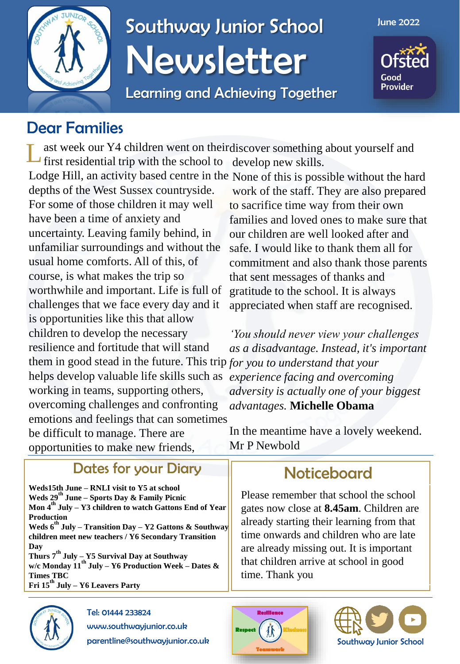

## Southway Junior School Newsletter

Learning and Achieving Together

June 2022

Good **Provider** 

### Dear Families

ast week our Y4 children went on their discover something about yourself and first residential trip with the school to develop new skills. L

depths of the West Sussex countryside. For some of those children it may well have been a time of anxiety and uncertainty. Leaving family behind, in unfamiliar surroundings and without the usual home comforts. All of this, of course, is what makes the trip so worthwhile and important. Life is full of challenges that we face every day and it is opportunities like this that allow children to develop the necessary resilience and fortitude that will stand them in good stead in the future. This trip *for you to understand that your*  helps develop valuable life skills such as working in teams, supporting others, overcoming challenges and confronting emotions and feelings that can sometimes be difficult to manage. There are opportunities to make new friends,

#### Dates for your Diary Noticeboard

**Weds15th June – RNLI visit to Y5 at school Weds 29th June – Sports Day & Family Picnic Mon 4th July – Y3 children to watch Gattons End of Year Production Weds 6th July – Transition Day – Y2 Gattons & Southway children meet new teachers / Y6 Secondary Transition Day Thurs 7th July – Y5 Survival Day at Southway w/c Monday 11th July – Y6 Production Week – Dates & Times TBC Fri 15th July – Y6 Leavers Party** 



Tel: 01444 233824 www.southwayjunior.co.uk parentline@southwayjunior.co.uk

Lodge Hill, an activity based centre in the None of this is possible without the hard work of the staff. They are also prepared to sacrifice time way from their own families and loved ones to make sure that our children are well looked after and safe. I would like to thank them all for commitment and also thank those parents that sent messages of thanks and gratitude to the school. It is always appreciated when staff are recognised.

> *'You should never view your challenges as a disadvantage. Instead, it's important experience facing and overcoming adversity is actually one of your biggest advantages.* **Michelle Obama**

In the meantime have a lovely weekend. Mr P Newbold

Please remember that school the school gates now close at **8.45am**. Children are already starting their learning from that time onwards and children who are late are already missing out. It is important that children arrive at school in good time. Thank you



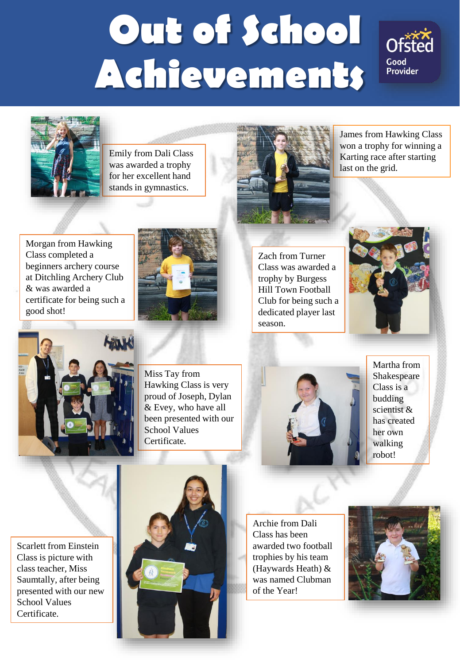# **Out of School Achievements**





Emily from Dali Class was awarded a trophy for her excellent hand stands in gymnastics.



James from Hawking Class won a trophy for winning a Karting race after starting last on the grid.

Morgan from Hawking Class completed a beginners archery course at Ditchling Archery Club & was awarded a certificate for being such a good shot!



Zach from Turner Class was awarded a trophy by Burgess Hill Town Football Club for being such a dedicated player last season.





Miss Tay from Hawking Class is very proud of Joseph, Dylan & Evey, who have all been presented with our School Values Certificate.



Martha from Shakespeare Class is a budding scientist & has created her own walking robot!

Scarlett from Einstein Class is picture with class teacher, Miss Saumtally, after being presented with our new School Values Certificate.



Archie from Dali Class has been awarded two football trophies by his team (Haywards Heath) & was named Clubman of the Year!